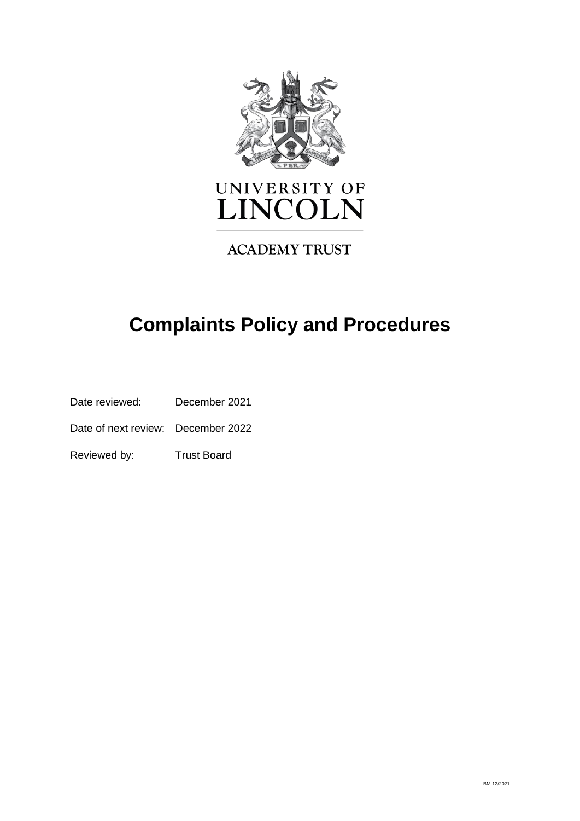

# UNIVERSITY OF LINCOLN

# **ACADEMY TRUST**

# **Complaints Policy and Procedures**

Date reviewed: December 2021

Date of next review: December 2022

Reviewed by: Trust Board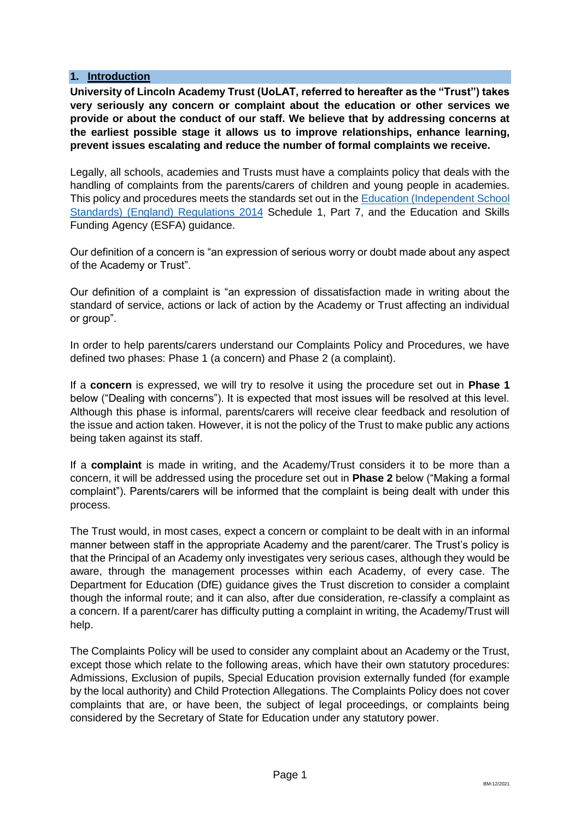#### **1. Introduction**

**University of Lincoln Academy Trust (UoLAT, referred to hereafter as the "Trust") takes very seriously any concern or complaint about the education or other services we provide or about the conduct of our staff. We believe that by addressing concerns at the earliest possible stage it allows us to improve relationships, enhance learning, prevent issues escalating and reduce the number of formal complaints we receive.**

Legally, all schools, academies and Trusts must have a complaints policy that deals with the handling of complaints from the parents/carers of children and young people in academies. This policy and procedures meets the standards set out in th[e Education \(Independent School](https://www.legislation.gov.uk/uksi/2014/3283/schedule/made)  [Standards\) \(England\) Regulations](https://www.legislation.gov.uk/uksi/2014/3283/schedule/made) 2014 Schedule 1, Part 7, and the Education and Skills Funding Agency (ESFA) guidance.

Our definition of a concern is "an expression of serious worry or doubt made about any aspect of the Academy or Trust".

Our definition of a complaint is "an expression of dissatisfaction made in writing about the standard of service, actions or lack of action by the Academy or Trust affecting an individual or group".

In order to help parents/carers understand our Complaints Policy and Procedures, we have defined two phases: Phase 1 (a concern) and Phase 2 (a complaint).

If a **concern** is expressed, we will try to resolve it using the procedure set out in **Phase 1** below ("Dealing with concerns"). It is expected that most issues will be resolved at this level. Although this phase is informal, parents/carers will receive clear feedback and resolution of the issue and action taken. However, it is not the policy of the Trust to make public any actions being taken against its staff.

If a **complaint** is made in writing, and the Academy/Trust considers it to be more than a concern, it will be addressed using the procedure set out in **Phase 2** below ("Making a formal complaint"). Parents/carers will be informed that the complaint is being dealt with under this process.

The Trust would, in most cases, expect a concern or complaint to be dealt with in an informal manner between staff in the appropriate Academy and the parent/carer. The Trust's policy is that the Principal of an Academy only investigates very serious cases, although they would be aware, through the management processes within each Academy, of every case. The Department for Education (DfE) guidance gives the Trust discretion to consider a complaint though the informal route; and it can also, after due consideration, re-classify a complaint as a concern. If a parent/carer has difficulty putting a complaint in writing, the Academy/Trust will help.

The Complaints Policy will be used to consider any complaint about an Academy or the Trust, except those which relate to the following areas, which have their own statutory procedures: Admissions, Exclusion of pupils, Special Education provision externally funded (for example by the local authority) and Child Protection Allegations. The Complaints Policy does not cover complaints that are, or have been, the subject of legal proceedings, or complaints being considered by the Secretary of State for Education under any statutory power.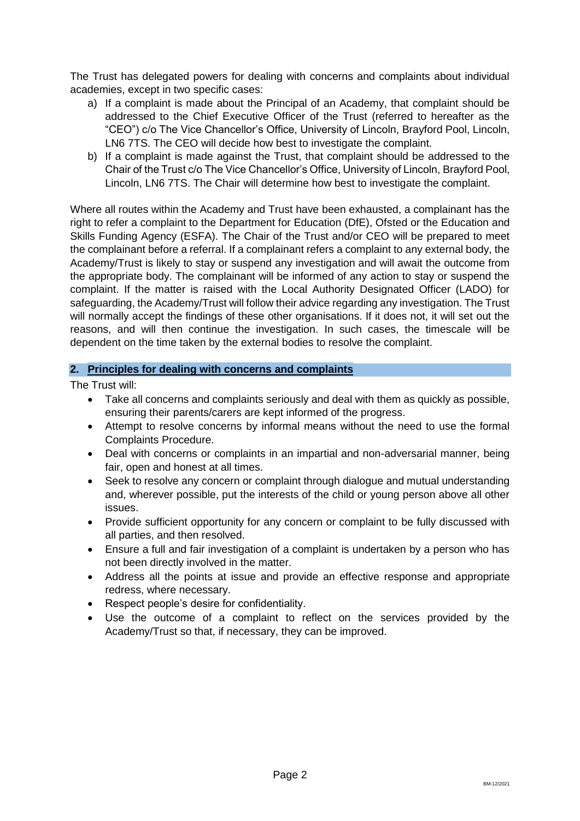The Trust has delegated powers for dealing with concerns and complaints about individual academies, except in two specific cases:

- a) If a complaint is made about the Principal of an Academy, that complaint should be addressed to the Chief Executive Officer of the Trust (referred to hereafter as the "CEO") c/o The Vice Chancellor's Office, University of Lincoln, Brayford Pool, Lincoln, LN6 7TS. The CEO will decide how best to investigate the complaint.
- b) If a complaint is made against the Trust, that complaint should be addressed to the Chair of the Trust c/o The Vice Chancellor's Office, University of Lincoln, Brayford Pool, Lincoln, LN6 7TS. The Chair will determine how best to investigate the complaint.

Where all routes within the Academy and Trust have been exhausted, a complainant has the right to refer a complaint to the Department for Education (DfE), Ofsted or the Education and Skills Funding Agency (ESFA). The Chair of the Trust and/or CEO will be prepared to meet the complainant before a referral. If a complainant refers a complaint to any external body, the Academy/Trust is likely to stay or suspend any investigation and will await the outcome from the appropriate body. The complainant will be informed of any action to stay or suspend the complaint. If the matter is raised with the Local Authority Designated Officer (LADO) for safeguarding, the Academy/Trust will follow their advice regarding any investigation. The Trust will normally accept the findings of these other organisations. If it does not, it will set out the reasons, and will then continue the investigation. In such cases, the timescale will be dependent on the time taken by the external bodies to resolve the complaint.

# **2. Principles for dealing with concerns and complaints**

The Trust will:

- Take all concerns and complaints seriously and deal with them as quickly as possible, ensuring their parents/carers are kept informed of the progress.
- Attempt to resolve concerns by informal means without the need to use the formal Complaints Procedure.
- Deal with concerns or complaints in an impartial and non-adversarial manner, being fair, open and honest at all times.
- Seek to resolve any concern or complaint through dialogue and mutual understanding and, wherever possible, put the interests of the child or young person above all other issues.
- Provide sufficient opportunity for any concern or complaint to be fully discussed with all parties, and then resolved.
- Ensure a full and fair investigation of a complaint is undertaken by a person who has not been directly involved in the matter.
- Address all the points at issue and provide an effective response and appropriate redress, where necessary.
- Respect people's desire for confidentiality.
- Use the outcome of a complaint to reflect on the services provided by the Academy/Trust so that, if necessary, they can be improved.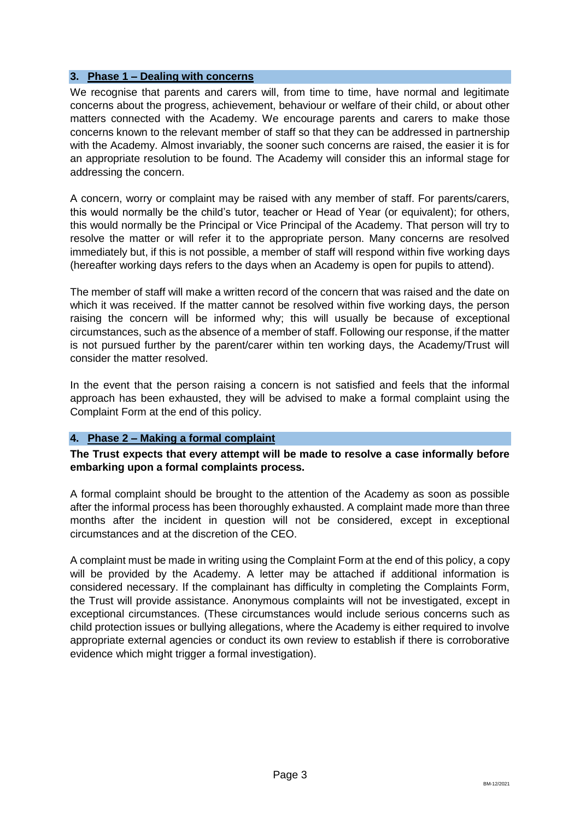#### **3. Phase 1 – Dealing with concerns**

We recognise that parents and carers will, from time to time, have normal and legitimate concerns about the progress, achievement, behaviour or welfare of their child, or about other matters connected with the Academy. We encourage parents and carers to make those concerns known to the relevant member of staff so that they can be addressed in partnership with the Academy. Almost invariably, the sooner such concerns are raised, the easier it is for an appropriate resolution to be found. The Academy will consider this an informal stage for addressing the concern.

A concern, worry or complaint may be raised with any member of staff. For parents/carers, this would normally be the child's tutor, teacher or Head of Year (or equivalent); for others, this would normally be the Principal or Vice Principal of the Academy. That person will try to resolve the matter or will refer it to the appropriate person. Many concerns are resolved immediately but, if this is not possible, a member of staff will respond within five working days (hereafter working days refers to the days when an Academy is open for pupils to attend).

The member of staff will make a written record of the concern that was raised and the date on which it was received. If the matter cannot be resolved within five working days, the person raising the concern will be informed why; this will usually be because of exceptional circumstances, such as the absence of a member of staff. Following our response, if the matter is not pursued further by the parent/carer within ten working days, the Academy/Trust will consider the matter resolved.

In the event that the person raising a concern is not satisfied and feels that the informal approach has been exhausted, they will be advised to make a formal complaint using the Complaint Form at the end of this policy.

#### **4. Phase 2 – Making a formal complaint**

**The Trust expects that every attempt will be made to resolve a case informally before embarking upon a formal complaints process.**

A formal complaint should be brought to the attention of the Academy as soon as possible after the informal process has been thoroughly exhausted. A complaint made more than three months after the incident in question will not be considered, except in exceptional circumstances and at the discretion of the CEO.

A complaint must be made in writing using the Complaint Form at the end of this policy, a copy will be provided by the Academy. A letter may be attached if additional information is considered necessary. If the complainant has difficulty in completing the Complaints Form, the Trust will provide assistance. Anonymous complaints will not be investigated, except in exceptional circumstances. (These circumstances would include serious concerns such as child protection issues or bullying allegations, where the Academy is either required to involve appropriate external agencies or conduct its own review to establish if there is corroborative evidence which might trigger a formal investigation).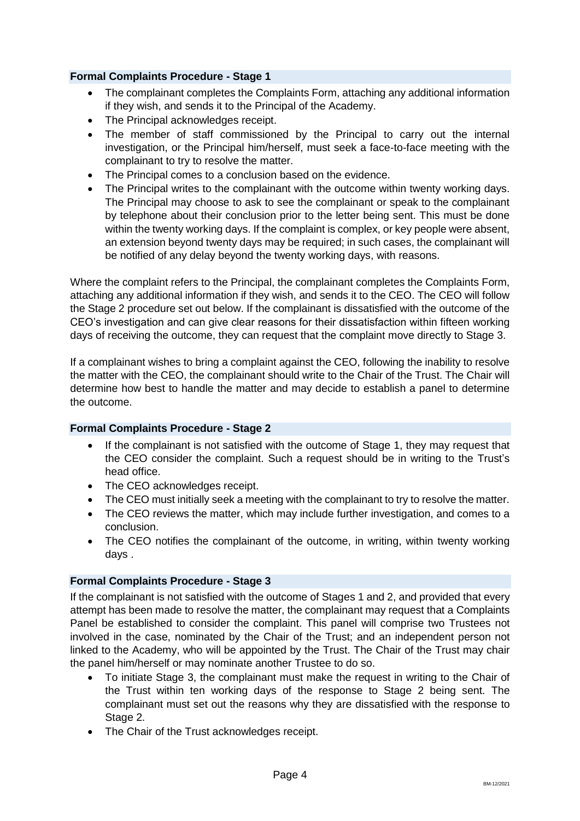### **Formal Complaints Procedure - Stage 1**

- The complainant completes the Complaints Form, attaching any additional information if they wish, and sends it to the Principal of the Academy.
- The Principal acknowledges receipt.
- The member of staff commissioned by the Principal to carry out the internal investigation, or the Principal him/herself, must seek a face-to-face meeting with the complainant to try to resolve the matter.
- The Principal comes to a conclusion based on the evidence.
- The Principal writes to the complainant with the outcome within twenty working days. The Principal may choose to ask to see the complainant or speak to the complainant by telephone about their conclusion prior to the letter being sent. This must be done within the twenty working days. If the complaint is complex, or key people were absent, an extension beyond twenty days may be required; in such cases, the complainant will be notified of any delay beyond the twenty working days, with reasons.

Where the complaint refers to the Principal, the complainant completes the Complaints Form, attaching any additional information if they wish, and sends it to the CEO. The CEO will follow the Stage 2 procedure set out below. If the complainant is dissatisfied with the outcome of the CEO's investigation and can give clear reasons for their dissatisfaction within fifteen working days of receiving the outcome, they can request that the complaint move directly to Stage 3.

If a complainant wishes to bring a complaint against the CEO, following the inability to resolve the matter with the CEO, the complainant should write to the Chair of the Trust. The Chair will determine how best to handle the matter and may decide to establish a panel to determine the outcome.

#### **Formal Complaints Procedure - Stage 2**

- If the complainant is not satisfied with the outcome of Stage 1, they may request that the CEO consider the complaint. Such a request should be in writing to the Trust's head office.
- The CEO acknowledges receipt.
- The CEO must initially seek a meeting with the complainant to try to resolve the matter.
- The CEO reviews the matter, which may include further investigation, and comes to a conclusion.
- The CEO notifies the complainant of the outcome, in writing, within twenty working days .

#### **Formal Complaints Procedure - Stage 3**

If the complainant is not satisfied with the outcome of Stages 1 and 2, and provided that every attempt has been made to resolve the matter, the complainant may request that a Complaints Panel be established to consider the complaint. This panel will comprise two Trustees not involved in the case, nominated by the Chair of the Trust; and an independent person not linked to the Academy, who will be appointed by the Trust. The Chair of the Trust may chair the panel him/herself or may nominate another Trustee to do so.

- To initiate Stage 3, the complainant must make the request in writing to the Chair of the Trust within ten working days of the response to Stage 2 being sent. The complainant must set out the reasons why they are dissatisfied with the response to Stage 2.
- The Chair of the Trust acknowledges receipt.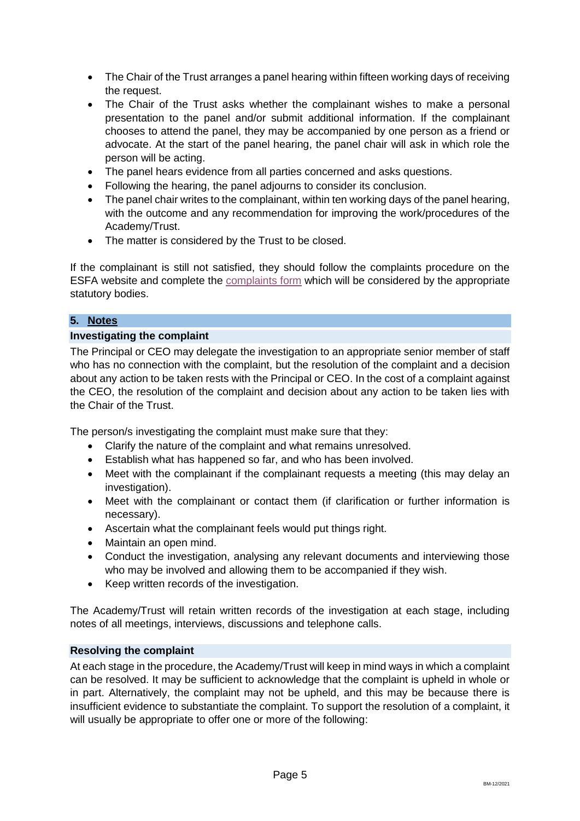- The Chair of the Trust arranges a panel hearing within fifteen working days of receiving the request.
- The Chair of the Trust asks whether the complainant wishes to make a personal presentation to the panel and/or submit additional information. If the complainant chooses to attend the panel, they may be accompanied by one person as a friend or advocate. At the start of the panel hearing, the panel chair will ask in which role the person will be acting.
- The panel hears evidence from all parties concerned and asks questions.
- Following the hearing, the panel adjourns to consider its conclusion.
- The panel chair writes to the complainant, within ten working days of the panel hearing, with the outcome and any recommendation for improving the work/procedures of the Academy/Trust.
- The matter is considered by the Trust to be closed.

If the complainant is still not satisfied, they should follow the complaints procedure on the ESFA website and complete the [complaints form](https://form.education.gov.uk/service/Contact_the_Department_for_Education) which will be considered by the appropriate statutory bodies.

# **5. Notes**

# **Investigating the complaint**

The Principal or CEO may delegate the investigation to an appropriate senior member of staff who has no connection with the complaint, but the resolution of the complaint and a decision about any action to be taken rests with the Principal or CEO. In the cost of a complaint against the CEO, the resolution of the complaint and decision about any action to be taken lies with the Chair of the Trust.

The person/s investigating the complaint must make sure that they:

- Clarify the nature of the complaint and what remains unresolved.
- Establish what has happened so far, and who has been involved.
- Meet with the complainant if the complainant requests a meeting (this may delay an investigation).
- Meet with the complainant or contact them (if clarification or further information is necessary).
- Ascertain what the complainant feels would put things right.
- Maintain an open mind.
- Conduct the investigation, analysing any relevant documents and interviewing those who may be involved and allowing them to be accompanied if they wish.
- Keep written records of the investigation.

The Academy/Trust will retain written records of the investigation at each stage, including notes of all meetings, interviews, discussions and telephone calls.

#### **Resolving the complaint**

At each stage in the procedure, the Academy/Trust will keep in mind ways in which a complaint can be resolved. It may be sufficient to acknowledge that the complaint is upheld in whole or in part. Alternatively, the complaint may not be upheld, and this may be because there is insufficient evidence to substantiate the complaint. To support the resolution of a complaint, it will usually be appropriate to offer one or more of the following: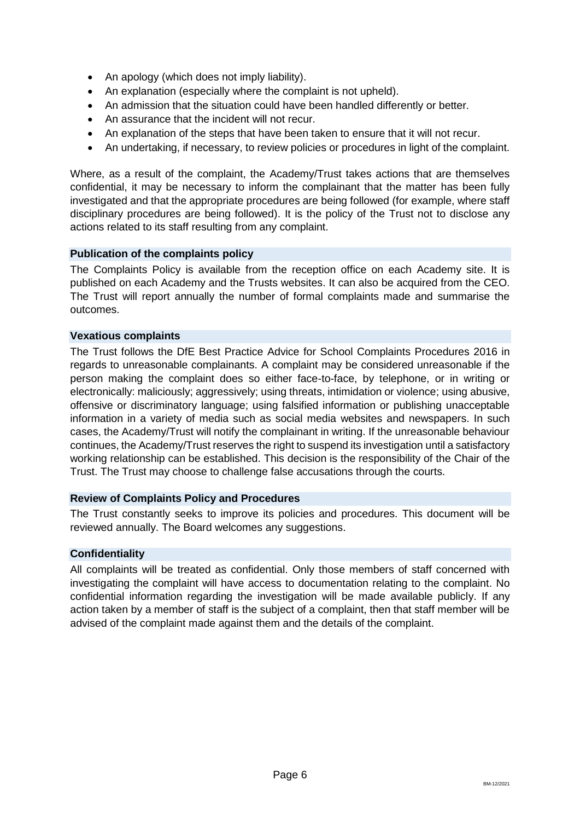- An apology (which does not imply liability).
- An explanation (especially where the complaint is not upheld).
- An admission that the situation could have been handled differently or better.
- An assurance that the incident will not recur.
- An explanation of the steps that have been taken to ensure that it will not recur.
- An undertaking, if necessary, to review policies or procedures in light of the complaint.

Where, as a result of the complaint, the Academy/Trust takes actions that are themselves confidential, it may be necessary to inform the complainant that the matter has been fully investigated and that the appropriate procedures are being followed (for example, where staff disciplinary procedures are being followed). It is the policy of the Trust not to disclose any actions related to its staff resulting from any complaint.

#### **Publication of the complaints policy**

The Complaints Policy is available from the reception office on each Academy site. It is published on each Academy and the Trusts websites. It can also be acquired from the CEO. The Trust will report annually the number of formal complaints made and summarise the outcomes.

#### **Vexatious complaints**

The Trust follows the DfE Best Practice Advice for School Complaints Procedures 2016 in regards to unreasonable complainants. A complaint may be considered unreasonable if the person making the complaint does so either face-to-face, by telephone, or in writing or electronically: maliciously; aggressively; using threats, intimidation or violence; using abusive, offensive or discriminatory language; using falsified information or publishing unacceptable information in a variety of media such as social media websites and newspapers. In such cases, the Academy/Trust will notify the complainant in writing. If the unreasonable behaviour continues, the Academy/Trust reserves the right to suspend its investigation until a satisfactory working relationship can be established. This decision is the responsibility of the Chair of the Trust. The Trust may choose to challenge false accusations through the courts.

#### **Review of Complaints Policy and Procedures**

The Trust constantly seeks to improve its policies and procedures. This document will be reviewed annually. The Board welcomes any suggestions.

#### **Confidentiality**

All complaints will be treated as confidential. Only those members of staff concerned with investigating the complaint will have access to documentation relating to the complaint. No confidential information regarding the investigation will be made available publicly. If any action taken by a member of staff is the subject of a complaint, then that staff member will be advised of the complaint made against them and the details of the complaint.